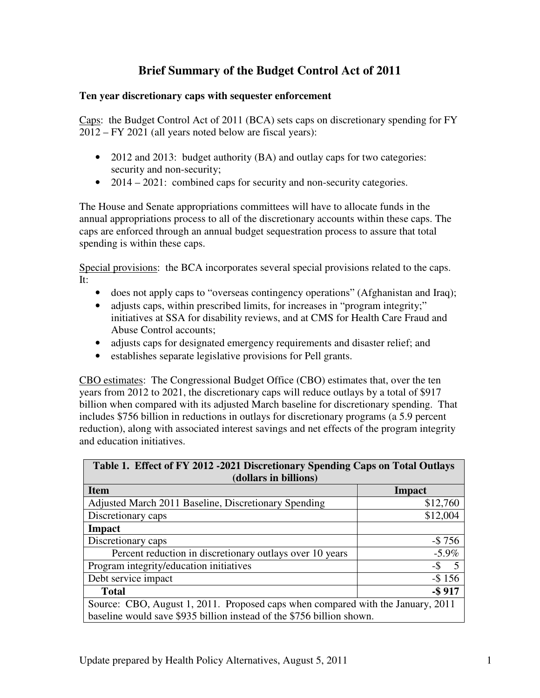# **Brief Summary of the Budget Control Act of 2011**

## **Ten year discretionary caps with sequester enforcement**

Caps: the Budget Control Act of 2011 (BCA) sets caps on discretionary spending for FY 2012 – FY 2021 (all years noted below are fiscal years):

- 2012 and 2013: budget authority (BA) and outlay caps for two categories: security and non-security;
- 2014 2021: combined caps for security and non-security categories.

The House and Senate appropriations committees will have to allocate funds in the annual appropriations process to all of the discretionary accounts within these caps. The caps are enforced through an annual budget sequestration process to assure that total spending is within these caps.

Special provisions: the BCA incorporates several special provisions related to the caps. It:

- does not apply caps to "overseas contingency operations" (Afghanistan and Iraq);
- adjusts caps, within prescribed limits, for increases in "program integrity;" initiatives at SSA for disability reviews, and at CMS for Health Care Fraud and Abuse Control accounts;
- adjusts caps for designated emergency requirements and disaster relief; and
- establishes separate legislative provisions for Pell grants.

CBO estimates: The Congressional Budget Office (CBO) estimates that, over the ten years from 2012 to 2021, the discretionary caps will reduce outlays by a total of \$917 billion when compared with its adjusted March baseline for discretionary spending. That includes \$756 billion in reductions in outlays for discretionary programs (a 5.9 percent reduction), along with associated interest savings and net effects of the program integrity and education initiatives.

| Table 1. Effect of FY 2012 -2021 Discretionary Spending Caps on Total Outlays   |           |  |  |  |
|---------------------------------------------------------------------------------|-----------|--|--|--|
| (dollars in billions)                                                           |           |  |  |  |
| <b>Item</b>                                                                     | Impact    |  |  |  |
| Adjusted March 2011 Baseline, Discretionary Spending                            | \$12,760  |  |  |  |
| Discretionary caps                                                              | \$12,004  |  |  |  |
| Impact                                                                          |           |  |  |  |
| Discretionary caps                                                              | $-$ \$756 |  |  |  |
| Percent reduction in discretionary outlays over 10 years                        | $-5.9\%$  |  |  |  |
| Program integrity/education initiatives                                         | $-$ \$ 5  |  |  |  |
| Debt service impact                                                             | $-$ \$156 |  |  |  |
| <b>Total</b>                                                                    | $-$ \$917 |  |  |  |
| Source: CBO, August 1, 2011. Proposed caps when compared with the January, 2011 |           |  |  |  |
| baseline would save \$935 billion instead of the \$756 billion shown.           |           |  |  |  |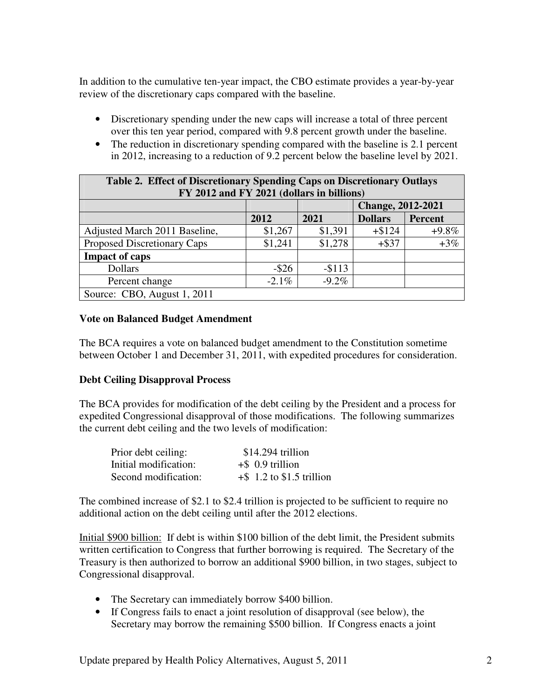In addition to the cumulative ten-year impact, the CBO estimate provides a year-by-year review of the discretionary caps compared with the baseline.

- Discretionary spending under the new caps will increase a total of three percent over this ten year period, compared with 9.8 percent growth under the baseline.
- The reduction in discretionary spending compared with the baseline is 2.1 percent in 2012, increasing to a reduction of 9.2 percent below the baseline level by 2021.

| <b>Table 2. Effect of Discretionary Spending Caps on Discretionary Outlays</b> |          |          |                          |                |  |
|--------------------------------------------------------------------------------|----------|----------|--------------------------|----------------|--|
| FY 2012 and FY 2021 (dollars in billions)                                      |          |          |                          |                |  |
|                                                                                |          |          | <b>Change, 2012-2021</b> |                |  |
|                                                                                | 2012     | 2021     | <b>Dollars</b>           | <b>Percent</b> |  |
| Adjusted March 2011 Baseline,                                                  | \$1,267  | \$1,391  | $+ $124$                 | $+9.8\%$       |  |
| Proposed Discretionary Caps                                                    | \$1,241  | \$1,278  | $+$ \$37                 | $+3%$          |  |
| <b>Impact of caps</b>                                                          |          |          |                          |                |  |
| <b>Dollars</b>                                                                 | $-$ \$26 | $-$113$  |                          |                |  |
| Percent change                                                                 | $-2.1\%$ | $-9.2\%$ |                          |                |  |
| Source: CBO, August 1, 2011                                                    |          |          |                          |                |  |

## **Vote on Balanced Budget Amendment**

The BCA requires a vote on balanced budget amendment to the Constitution sometime between October 1 and December 31, 2011, with expedited procedures for consideration.

# **Debt Ceiling Disapproval Process**

The BCA provides for modification of the debt ceiling by the President and a process for expedited Congressional disapproval of those modifications. The following summarizes the current debt ceiling and the two levels of modification:

| Prior debt ceiling:   | $$14.294$ trillion           |  |
|-----------------------|------------------------------|--|
| Initial modification: | $+$ \$ 0.9 trillion          |  |
| Second modification:  | $+$ \$ 1.2 to \$1.5 trillion |  |

The combined increase of \$2.1 to \$2.4 trillion is projected to be sufficient to require no additional action on the debt ceiling until after the 2012 elections.

Initial \$900 billion: If debt is within \$100 billion of the debt limit, the President submits written certification to Congress that further borrowing is required. The Secretary of the Treasury is then authorized to borrow an additional \$900 billion, in two stages, subject to Congressional disapproval.

- The Secretary can immediately borrow \$400 billion.
- If Congress fails to enact a joint resolution of disapproval (see below), the Secretary may borrow the remaining \$500 billion. If Congress enacts a joint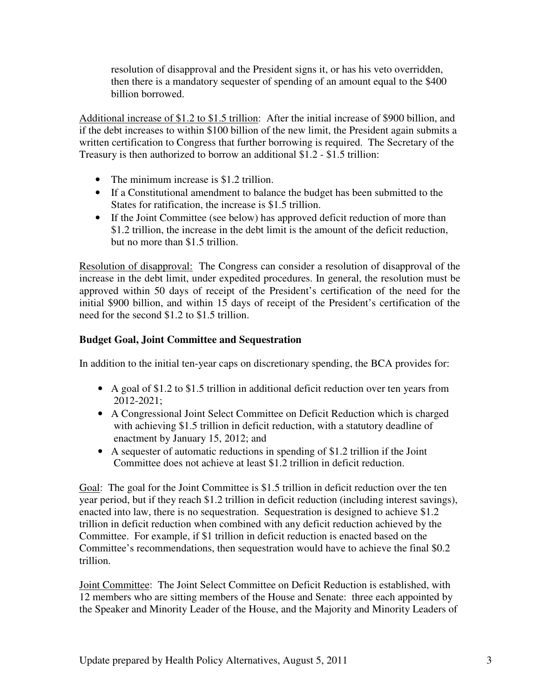resolution of disapproval and the President signs it, or has his veto overridden, then there is a mandatory sequester of spending of an amount equal to the \$400 billion borrowed.

Additional increase of \$1.2 to \$1.5 trillion: After the initial increase of \$900 billion, and if the debt increases to within \$100 billion of the new limit, the President again submits a written certification to Congress that further borrowing is required. The Secretary of the Treasury is then authorized to borrow an additional \$1.2 - \$1.5 trillion:

- The minimum increase is \$1.2 trillion.
- If a Constitutional amendment to balance the budget has been submitted to the States for ratification, the increase is \$1.5 trillion.
- If the Joint Committee (see below) has approved deficit reduction of more than \$1.2 trillion, the increase in the debt limit is the amount of the deficit reduction, but no more than \$1.5 trillion.

Resolution of disapproval: The Congress can consider a resolution of disapproval of the increase in the debt limit, under expedited procedures. In general, the resolution must be approved within 50 days of receipt of the President's certification of the need for the initial \$900 billion, and within 15 days of receipt of the President's certification of the need for the second \$1.2 to \$1.5 trillion.

# **Budget Goal, Joint Committee and Sequestration**

In addition to the initial ten-year caps on discretionary spending, the BCA provides for:

- A goal of \$1.2 to \$1.5 trillion in additional deficit reduction over ten years from 2012-2021;
- A Congressional Joint Select Committee on Deficit Reduction which is charged with achieving \$1.5 trillion in deficit reduction, with a statutory deadline of enactment by January 15, 2012; and
- A sequester of automatic reductions in spending of \$1.2 trillion if the Joint Committee does not achieve at least \$1.2 trillion in deficit reduction.

Goal: The goal for the Joint Committee is \$1.5 trillion in deficit reduction over the ten year period, but if they reach \$1.2 trillion in deficit reduction (including interest savings), enacted into law, there is no sequestration. Sequestration is designed to achieve \$1.2 trillion in deficit reduction when combined with any deficit reduction achieved by the Committee. For example, if \$1 trillion in deficit reduction is enacted based on the Committee's recommendations, then sequestration would have to achieve the final \$0.2 trillion.

Joint Committee: The Joint Select Committee on Deficit Reduction is established, with 12 members who are sitting members of the House and Senate: three each appointed by the Speaker and Minority Leader of the House, and the Majority and Minority Leaders of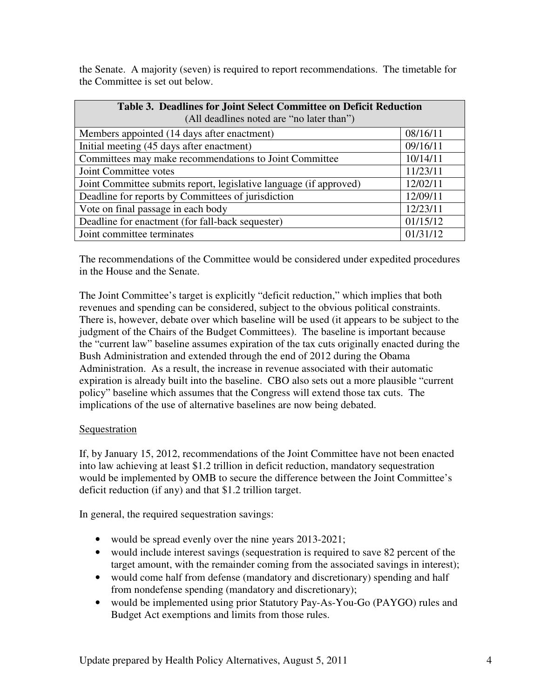the Senate. A majority (seven) is required to report recommendations. The timetable for the Committee is set out below.

| Table 3. Deadlines for Joint Select Committee on Deficit Reduction<br>(All deadlines noted are "no later than") |          |  |  |  |
|-----------------------------------------------------------------------------------------------------------------|----------|--|--|--|
| Members appointed (14 days after enactment)                                                                     | 08/16/11 |  |  |  |
| Initial meeting (45 days after enactment)                                                                       | 09/16/11 |  |  |  |
| Committees may make recommendations to Joint Committee                                                          | 10/14/11 |  |  |  |
| Joint Committee votes                                                                                           | 11/23/11 |  |  |  |
| Joint Committee submits report, legislative language (if approved)                                              | 12/02/11 |  |  |  |
| Deadline for reports by Committees of jurisdiction                                                              | 12/09/11 |  |  |  |
| Vote on final passage in each body                                                                              | 12/23/11 |  |  |  |
| Deadline for enactment (for fall-back sequester)                                                                | 01/15/12 |  |  |  |
| Joint committee terminates                                                                                      | 01/31/12 |  |  |  |

The recommendations of the Committee would be considered under expedited procedures in the House and the Senate.

The Joint Committee's target is explicitly "deficit reduction," which implies that both revenues and spending can be considered, subject to the obvious political constraints. There is, however, debate over which baseline will be used (it appears to be subject to the judgment of the Chairs of the Budget Committees). The baseline is important because the "current law" baseline assumes expiration of the tax cuts originally enacted during the Bush Administration and extended through the end of 2012 during the Obama Administration. As a result, the increase in revenue associated with their automatic expiration is already built into the baseline. CBO also sets out a more plausible "current policy" baseline which assumes that the Congress will extend those tax cuts. The implications of the use of alternative baselines are now being debated.

# **Sequestration**

If, by January 15, 2012, recommendations of the Joint Committee have not been enacted into law achieving at least \$1.2 trillion in deficit reduction, mandatory sequestration would be implemented by OMB to secure the difference between the Joint Committee's deficit reduction (if any) and that \$1.2 trillion target.

In general, the required sequestration savings:

- would be spread evenly over the nine years 2013-2021;
- would include interest savings (sequestration is required to save 82 percent of the target amount, with the remainder coming from the associated savings in interest);
- would come half from defense (mandatory and discretionary) spending and half from nondefense spending (mandatory and discretionary);
- would be implemented using prior Statutory Pay-As-You-Go (PAYGO) rules and Budget Act exemptions and limits from those rules.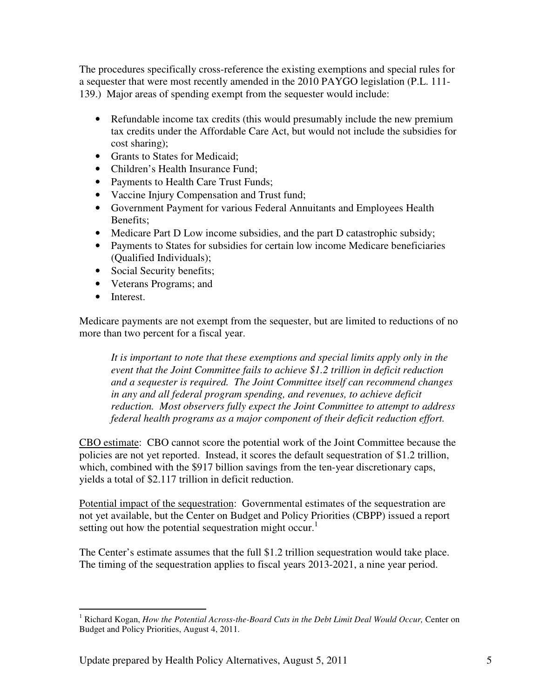The procedures specifically cross-reference the existing exemptions and special rules for a sequester that were most recently amended in the 2010 PAYGO legislation (P.L. 111- 139.) Major areas of spending exempt from the sequester would include:

- Refundable income tax credits (this would presumably include the new premium tax credits under the Affordable Care Act, but would not include the subsidies for cost sharing);
- Grants to States for Medicaid;
- Children's Health Insurance Fund;
- Payments to Health Care Trust Funds;
- Vaccine Injury Compensation and Trust fund;
- Government Payment for various Federal Annuitants and Employees Health Benefits;
- Medicare Part D Low income subsidies, and the part D catastrophic subsidy;
- Payments to States for subsidies for certain low income Medicare beneficiaries (Qualified Individuals);
- Social Security benefits;
- Veterans Programs; and
- Interest.

Medicare payments are not exempt from the sequester, but are limited to reductions of no more than two percent for a fiscal year.

*It is important to note that these exemptions and special limits apply only in the event that the Joint Committee fails to achieve \$1.2 trillion in deficit reduction and a sequester is required. The Joint Committee itself can recommend changes in any and all federal program spending, and revenues, to achieve deficit reduction. Most observers fully expect the Joint Committee to attempt to address federal health programs as a major component of their deficit reduction effort.*

CBO estimate: CBO cannot score the potential work of the Joint Committee because the policies are not yet reported. Instead, it scores the default sequestration of \$1.2 trillion, which, combined with the \$917 billion savings from the ten-year discretionary caps, yields a total of \$2.117 trillion in deficit reduction.

Potential impact of the sequestration: Governmental estimates of the sequestration are not yet available, but the Center on Budget and Policy Priorities (CBPP) issued a report setting out how the potential sequestration might occur.<sup>1</sup>

The Center's estimate assumes that the full \$1.2 trillion sequestration would take place. The timing of the sequestration applies to fiscal years 2013-2021, a nine year period.

<sup>1</sup> Richard Kogan, *How the Potential Across-the-Board Cuts in the Debt Limit Deal Would Occur,* Center on Budget and Policy Priorities, August 4, 2011.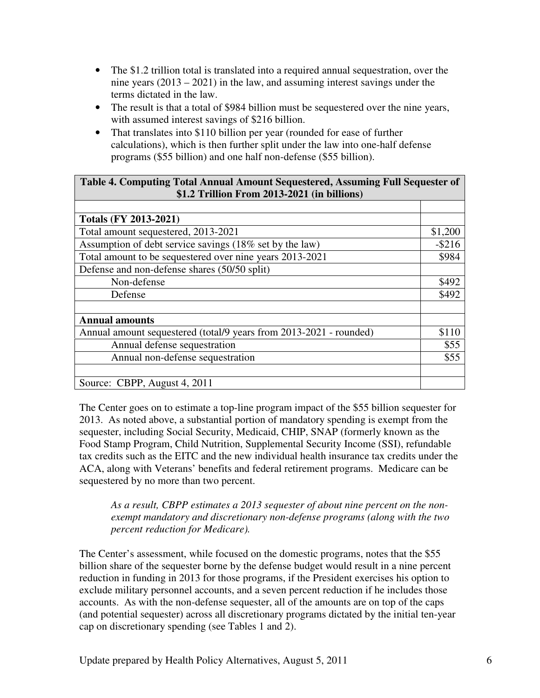- The \$1.2 trillion total is translated into a required annual sequestration, over the nine years (2013 – 2021) in the law, and assuming interest savings under the terms dictated in the law.
- The result is that a total of \$984 billion must be sequestered over the nine years, with assumed interest savings of \$216 billion.
- That translates into \$110 billion per year (rounded for ease of further calculations), which is then further split under the law into one-half defense programs (\$55 billion) and one half non-defense (\$55 billion).

# **Table 4. Computing Total Annual Amount Sequestered, Assuming Full Sequester of \$1.2 Trillion From 2013-2021 (in billions)**

| <b>Totals (FY 2013-2021)</b>                                       |           |
|--------------------------------------------------------------------|-----------|
| Total amount sequestered, 2013-2021                                | \$1,200   |
| Assumption of debt service savings (18% set by the law)            | $-$ \$216 |
| Total amount to be sequestered over nine years 2013-2021           | \$984     |
| Defense and non-defense shares (50/50 split)                       |           |
| Non-defense                                                        | \$492     |
| Defense                                                            | \$492     |
|                                                                    |           |
| <b>Annual amounts</b>                                              |           |
| Annual amount sequestered (total/9 years from 2013-2021 - rounded) | \$110     |
| Annual defense sequestration                                       | \$55      |
| Annual non-defense sequestration                                   | \$55      |
|                                                                    |           |
| Source: CBPP, August 4, 2011                                       |           |

The Center goes on to estimate a top-line program impact of the \$55 billion sequester for 2013. As noted above, a substantial portion of mandatory spending is exempt from the sequester, including Social Security, Medicaid, CHIP, SNAP (formerly known as the Food Stamp Program, Child Nutrition, Supplemental Security Income (SSI), refundable tax credits such as the EITC and the new individual health insurance tax credits under the ACA, along with Veterans' benefits and federal retirement programs. Medicare can be sequestered by no more than two percent.

## *As a result, CBPP estimates a 2013 sequester of about nine percent on the nonexempt mandatory and discretionary non-defense programs (along with the two percent reduction for Medicare).*

The Center's assessment, while focused on the domestic programs, notes that the \$55 billion share of the sequester borne by the defense budget would result in a nine percent reduction in funding in 2013 for those programs, if the President exercises his option to exclude military personnel accounts, and a seven percent reduction if he includes those accounts. As with the non-defense sequester, all of the amounts are on top of the caps (and potential sequester) across all discretionary programs dictated by the initial ten-year cap on discretionary spending (see Tables 1 and 2).